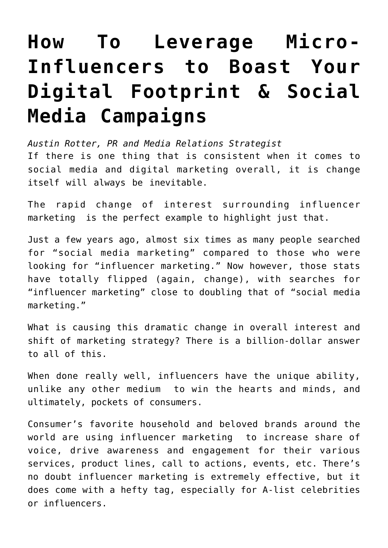## **[How To Leverage Micro-](https://www.commpro.biz/how-to-leverage-micro-influencers-to-boast-your-digital-footprint-social-media-campaigns/)[Influencers to Boast Your](https://www.commpro.biz/how-to-leverage-micro-influencers-to-boast-your-digital-footprint-social-media-campaigns/) [Digital Footprint & Social](https://www.commpro.biz/how-to-leverage-micro-influencers-to-boast-your-digital-footprint-social-media-campaigns/) [Media Campaigns](https://www.commpro.biz/how-to-leverage-micro-influencers-to-boast-your-digital-footprint-social-media-campaigns/)**

*[Austin Rotter](https://austinrotter.com/), PR and Media Relations Strategist* If there is one thing that is consistent when it comes to social media and digital marketing overall, it is change itself will always be inevitable.

[The rapid change of interest surrounding influencer](https://shanebarker.com/blog/rise-of-influencer-marketing/) [marketing](https://shanebarker.com/blog/rise-of-influencer-marketing/) is the perfect example to highlight just that.

Just a few years ago, almost six times as many people searched for "social media marketing" compared to those who were looking for "influencer marketing." Now however, those stats have totally flipped (again, change), with searches for "influencer marketing" close to doubling that of "social media marketing."

What is causing this dramatic change in overall interest and shift o[f marketing](https://www.commpro.biz/marketing-section/) strategy? There is a billion-dollar answer to all of this.

When done really well, influencers have the [unique ability,](https://www.upfluence.com/influencer-marketing/5-reasons-influencers-impact-business-growth) [unlike any other medium](https://www.upfluence.com/influencer-marketing/5-reasons-influencers-impact-business-growth) to win the hearts and minds, and ultimately, pockets of consumers.

Consumer's favorite household and [beloved brands around the](https://influencermarketinghub.com/influencer-marketing-statistics/) [world are using influencer marketing](https://influencermarketinghub.com/influencer-marketing-statistics/) to increase share of voice, drive awareness and engagement for their various services, product lines, call to actions, events, etc. There's no doubt influencer marketing is extremely effective, but it does come with a hefty tag, especially for A-list celebrities or influencers.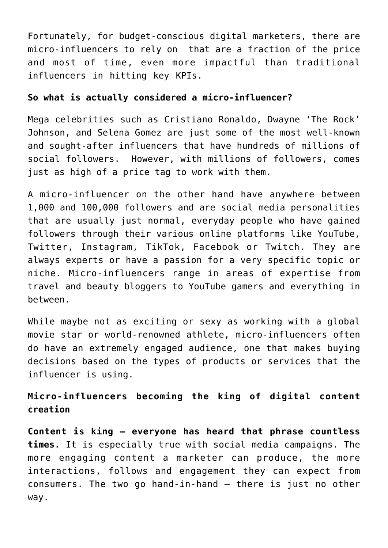Fortunately, for budget-conscious digital marketers, [there are](https://www.forbes.com/sites/forbesagencycouncil/2021/06/02/micro-influencers-when-smaller-is-better/?sh=3b7ad70a539b) [micro-influencers to rely on](https://www.forbes.com/sites/forbesagencycouncil/2021/06/02/micro-influencers-when-smaller-is-better/?sh=3b7ad70a539b) that are a fraction of the price and most of time, even more impactful than traditional influencers in hitting key KPIs.

## **So what is actually considered a micro-influencer?**

Mega celebrities such as Cristiano Ronaldo, Dwayne 'The Rock' Johnson, and Selena Gomez are just some of the most well-known and [sought-after influencers that have hundreds of millions of](https://www.vox.com/the-goods/2018/11/28/18116875/influencer-marketing-social-media-engagement-instagram-youtube) [social followers.](https://www.vox.com/the-goods/2018/11/28/18116875/influencer-marketing-social-media-engagement-instagram-youtube) However, with millions of followers, comes just as high of a price tag to work with them.

A micro-influencer on the other hand have anywhere [between](https://www.ana.net/blogs/show/id/mm-blog-2020-02-micro-influencers-better-content#:~:text=A%20micro%2Dinfluencer%20is%20an,of%20engagement%20from%20their%20audiences.&text=Micro%2Dinfluencers%20aren) [1,000 and 100,000 followers](https://www.ana.net/blogs/show/id/mm-blog-2020-02-micro-influencers-better-content#:~:text=A%20micro%2Dinfluencer%20is%20an,of%20engagement%20from%20their%20audiences.&text=Micro%2Dinfluencers%20aren) and are social media personalities that are usually just normal, everyday people who have gained followers through their various online platforms like YouTube, Twitter, Instagram, TikTok, Facebook or Twitch. They are always experts or have a passion for a very specific topic or niche. Micro-influencers range in areas of expertise from travel and beauty bloggers to YouTube gamers and everything in between.

While maybe not as exciting or sexy as working with a global movie star or world-renowned athlete, micro-influencers often do have an extremely engaged audience, one that makes buying decisions based on the types of products or services that the influencer is using.

**Micro-influencers becoming the king of digital content creation**

**Content is king – everyone has heard that phrase countless times.** It is especially true with social media campaigns. The more engaging content a marketer can produce, the more interactions, follows and [engagement they can expect from](https://www.benchmarkone.com/blog/how-to-drive-engagement-and-conversions-through-content-marketing/) [consumers.](https://www.benchmarkone.com/blog/how-to-drive-engagement-and-conversions-through-content-marketing/) The two go hand-in-hand – there is just no other way.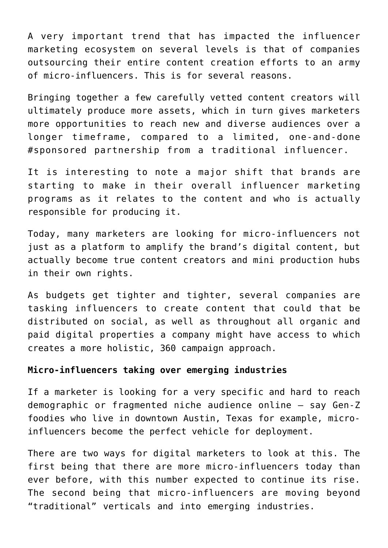A very important trend that has impacted the influencer marketing ecosystem on several levels is that of companies outsourcing their entire content creation efforts to an army of micro-influencers. This is for several reasons.

[Bringing together a few carefully vetted content creators](https://getcarro.com/blog/brands-using-micro-influencers-build-your-brand-creative-asset-library/#:~:text=Micro%2Dinfluencers%20also%20create%20great,than%20just%20their%20loyal%20audience) will ultimately produce more assets, which in turn gives marketers more opportunities to reach new and diverse audiences over a longer timeframe, compared to a limited, one-and-done #sponsored partnership from a traditional influencer.

It is interesting to note a major shift that brands are starting to make in their overall influencer marketing programs as it relates to the content and [who is actually](https://www.trend.io/blog/content-creators-vs-influencers) [responsible for producing it.](https://www.trend.io/blog/content-creators-vs-influencers) 

Today, many marketers are looking for micro-influencers not just as a platform to amplify the brand's digital content, but actually become true content creators and mini production hubs in their own rights.

As budgets get tighter and tighter, several companies are tasking influencers to create content that could that be distributed on social, as well as throughout all organic and paid digital properties a company might have access to which creates a more holistic, 360 campaign approach.

## **Micro-influencers taking over emerging industries**

If a marketer is looking for a very specific and hard to reach demographic or fragmented niche audience online – say Gen-Z foodies who live in downtown Austin, Texas for example, microinfluencers become the perfect vehicle for deployment.

There are two ways for digital marketers to look at this. The first being that [there are more micro-influencers today than](https://blog.hubspot.com/marketing/micro-influencer-marketing) [ever before,](https://blog.hubspot.com/marketing/micro-influencer-marketing) with this number expected to continue its rise. The second being that micro-influencers are moving beyond "traditional" verticals and into emerging industries.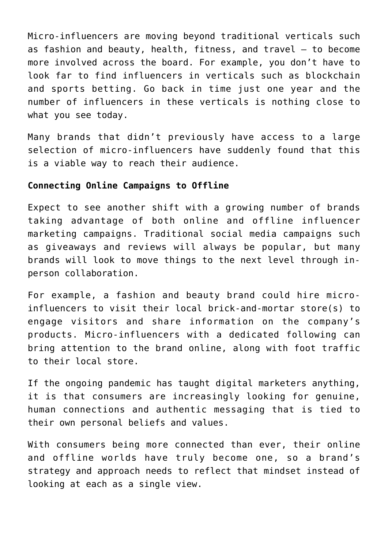[Micro-influencers are moving beyond traditional verticals](https://trendhero.io/blog/niche-influencers/) such as fashion and beauty, health, fitness, and travel — to become more involved across the board. For example, you don't have to look far to find influencers in verticals such as blockchain and sports betting. Go back in time just one year and the number of influencers in these verticals is nothing close to what you see today.

Many brands that didn't previously have access to a large selection of micro-influencers have suddenly found that this is a viable way to reach their audience.

## **Connecting Online Campaigns to Offline**

Expect to see another shift with a growing number of brands taking advantage of [both online and offline influencer](https://www.advisorpedia.com/advisor-tools/the-most-powerful-influencer-programs-have-combined-both-online-and-offline-engagement/) [marketing campaigns.](https://www.advisorpedia.com/advisor-tools/the-most-powerful-influencer-programs-have-combined-both-online-and-offline-engagement/) Traditional social media campaigns such as giveaways and reviews will always be popular, but many brands will look to move things to the next level through inperson collaboration.

[For example,](https://www.travelmindset.com/influencer-marketing-101-offline-events) a fashion and beauty brand could hire microinfluencers to visit their local brick-and-mortar store(s) to engage visitors and share information on the company's products. Micro-influencers with a dedicated following can bring attention to the brand online, along with foot traffic to their local store.

If the ongoing pandemic has taught digital marketers anything, it is that [consumers are increasingly looking for genuine,](https://www.frontify.com/en/blog/the-age-of-authenticity-why-brands-need-to-get-real/) [human connections](https://www.frontify.com/en/blog/the-age-of-authenticity-why-brands-need-to-get-real/) and authentic messaging that is tied to their own personal beliefs and values.

With consumers being more connected than ever, their online and offline worlds have truly become one, so a brand's strategy and approach needs to reflect that mindset instead of looking at each as a single view.